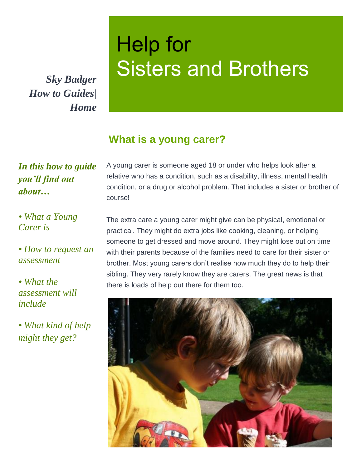*How to Guides| Home*

# Help for Sisters and Brothers *Sky Badger*

## **What is a young carer?**

#### *In this how to guide you'll find out about…*

A young carer is someone aged 18 or under who helps look after a relative who has a condition, such as a disability, illness, mental health condition, or a drug or alcohol problem. That includes a sister or brother of course!

*• What a Young Carer is*

*• How to request an assessment*

*• What the assessment will include*

*• What kind of help might they get?*

The extra care a young carer might give can be physical, emotional or practical. They might do extra jobs like cooking, cleaning, or helping someone to get dressed and move around. They might lose out on time with their parents because of the families need to care for their sister or brother. Most young carers don't realise how much they do to help their sibling. They very rarely know they are carers. The great news is that there is loads of help out there for them too.

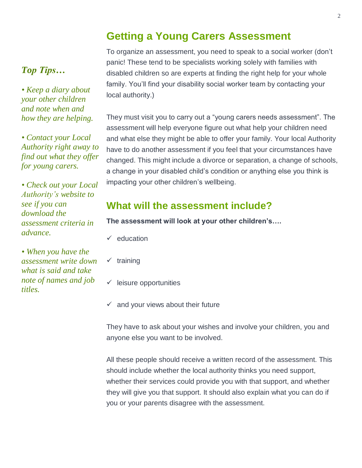#### **Getting a Young Carers Assessment**

To organize an assessment, you need to speak to a social worker (don't panic! These tend to be specialists working solely with families with disabled children so are experts at finding the right help for your whole family. You'll find your disability social worker team by contacting your local authority.)

They must visit you to carry out a "young carers needs assessment". The assessment will help everyone figure out what help your children need and what else they might be able to offer your family. Your local Authority have to do another assessment if you feel that your circumstances have changed. This might include a divorce or separation, a change of schools, a change in your disabled child's condition or anything else you think is impacting your other children's wellbeing.

## **What will the assessment include?**

**The assessment will look at your other children's….**

- ✓ education
- $\checkmark$  training
- $\checkmark$  leisure opportunities
- $\checkmark$  and your views about their future

They have to ask about your wishes and involve your children, you and anyone else you want to be involved.

All these people should receive a written record of the assessment. This should include whether the local authority thinks you need support, whether their services could provide you with that support, and whether they will give you that support. It should also explain what you can do if you or your parents disagree with the assessment.

# *Top Tips…*

*• Keep a diary about your other children and note when and how they are helping.*

*• Contact your Local Authority right away to find out what they offer for young carers.*

*• Check out your Local Authority's website to see if you can download the assessment criteria in advance.* 

*• When you have the assessment write down what is said and take note of names and job titles.*